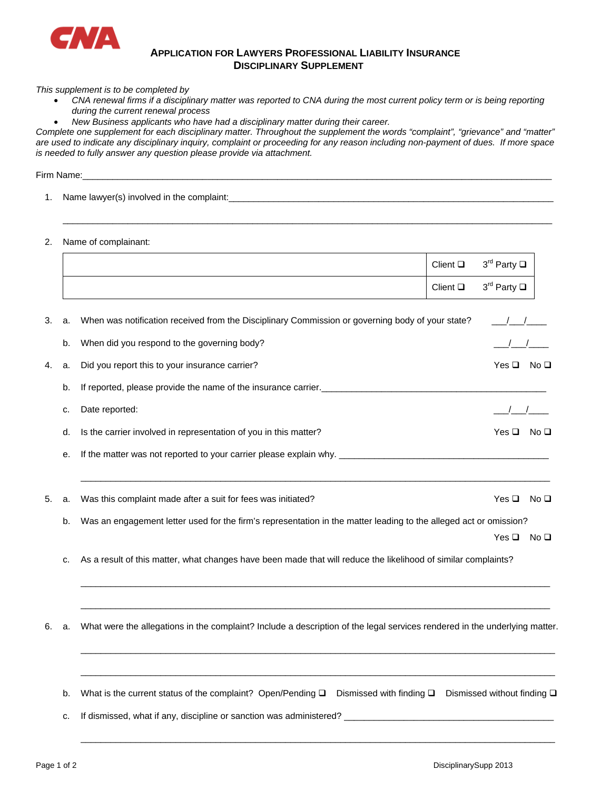

## **APPLICATION FOR LAWYERS PROFESSIONAL LIABILITY INSURANCE DISCIPLINARY SUPPLEMENT**

*This supplement is to be completed by* 

- *CNA renewal firms if a disciplinary matter was reported to CNA during the most current policy term or is being reporting during the current renewal process*
- *New Business applicants who have had a disciplinary matter during their career.*

*Complete one supplement for each disciplinary matter. Throughout the supplement the words "complaint", "grievance" and "matter" are used to indicate any disciplinary inquiry, complaint or proceeding for any reason including non-payment of dues. If more space is needed to fully answer any question please provide via attachment.* 

Firm Name:

- 1. Name lawyer(s) involved in the complaint:
- 2. Name of complainant:

|  | Client $\Box$ 3 <sup>rd</sup> Party $\Box$ |
|--|--------------------------------------------|
|  | Client $\Box$ 3 <sup>rd</sup> Party $\Box$ |

 $\_$  ,  $\_$  ,  $\_$  ,  $\_$  ,  $\_$  ,  $\_$  ,  $\_$  ,  $\_$  ,  $\_$  ,  $\_$  ,  $\_$  ,  $\_$  ,  $\_$  ,  $\_$  ,  $\_$  ,  $\_$  ,  $\_$  ,  $\_$  ,  $\_$  ,  $\_$  ,  $\_$  ,  $\_$  ,  $\_$  ,  $\_$  ,  $\_$  ,  $\_$  ,  $\_$  ,  $\_$  ,  $\_$  ,  $\_$  ,  $\_$  ,  $\_$  ,  $\_$  ,  $\_$  ,  $\_$  ,  $\_$  ,  $\_$  ,

| 3. | a. | When was notification received from the Disciplinary Commission or governing body of your state?                                                                                                                 |               |                 |
|----|----|------------------------------------------------------------------------------------------------------------------------------------------------------------------------------------------------------------------|---------------|-----------------|
|    | b. | When did you respond to the governing body?                                                                                                                                                                      |               |                 |
| 4. | a. | Did you report this to your insurance carrier?                                                                                                                                                                   | Yes $\square$ | No <b>□</b>     |
|    | b. | If reported, please provide the name of the insurance carrier.<br><u>If</u> reported, please provide the name of the insurance carrier.<br><u>If</u> reported, please provide the name of the insurance carrier. |               |                 |
|    | C. | Date reported:                                                                                                                                                                                                   |               |                 |
|    | d. | Is the carrier involved in representation of you in this matter?                                                                                                                                                 | Yes $\square$ | No <b>□</b>     |
|    | е. |                                                                                                                                                                                                                  |               |                 |
|    |    |                                                                                                                                                                                                                  |               |                 |
| 5. | a. | Was this complaint made after a suit for fees was initiated?                                                                                                                                                     | Yes $\square$ | No <sub>Q</sub> |
|    | b. | Was an engagement letter used for the firm's representation in the matter leading to the alleged act or omission?                                                                                                |               |                 |
|    |    |                                                                                                                                                                                                                  | Yes $\Box$    | No <sub>Q</sub> |
|    | C. | As a result of this matter, what changes have been made that will reduce the likelihood of similar complaints?                                                                                                   |               |                 |
|    |    |                                                                                                                                                                                                                  |               |                 |
|    |    |                                                                                                                                                                                                                  |               |                 |
| 6. | a. | What were the allegations in the complaint? Include a description of the legal services rendered in the underlying matter.                                                                                       |               |                 |
|    |    |                                                                                                                                                                                                                  |               |                 |
|    |    |                                                                                                                                                                                                                  |               |                 |

b. What is the current status of the complaint? Open/Pending  $\Box$  Dismissed with finding  $\Box$  Dismissed without finding  $\Box$ 

\_\_\_\_\_\_\_\_\_\_\_\_\_\_\_\_\_\_\_\_\_\_\_\_\_\_\_\_\_\_\_\_\_\_\_\_\_\_\_\_\_\_\_\_\_\_\_\_\_\_\_\_\_\_\_\_\_\_\_\_\_\_\_\_\_\_\_\_\_\_\_\_\_\_\_\_\_\_\_\_\_\_\_\_\_\_\_\_\_\_\_\_\_\_\_

c. If dismissed, what if any, discipline or sanction was administered?